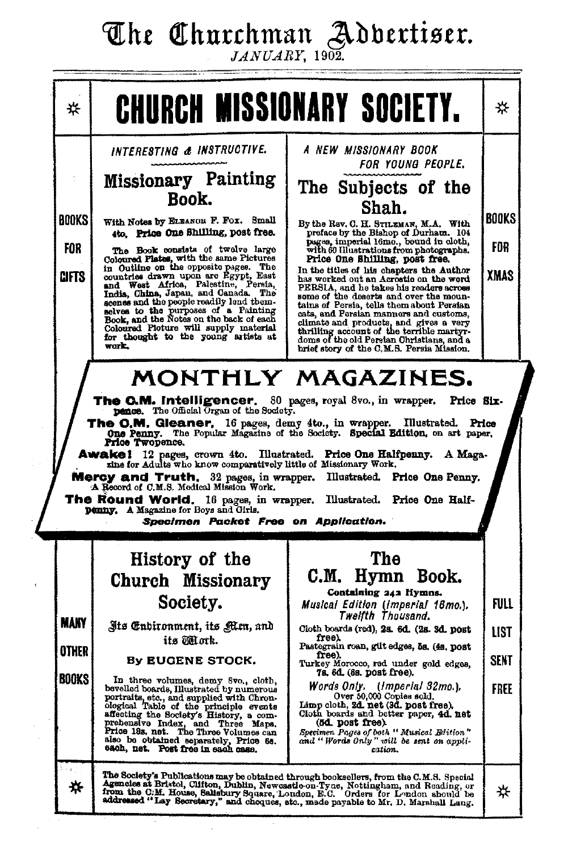# The Churchman Adbertiser.

 $JANUARY$ , 1902.

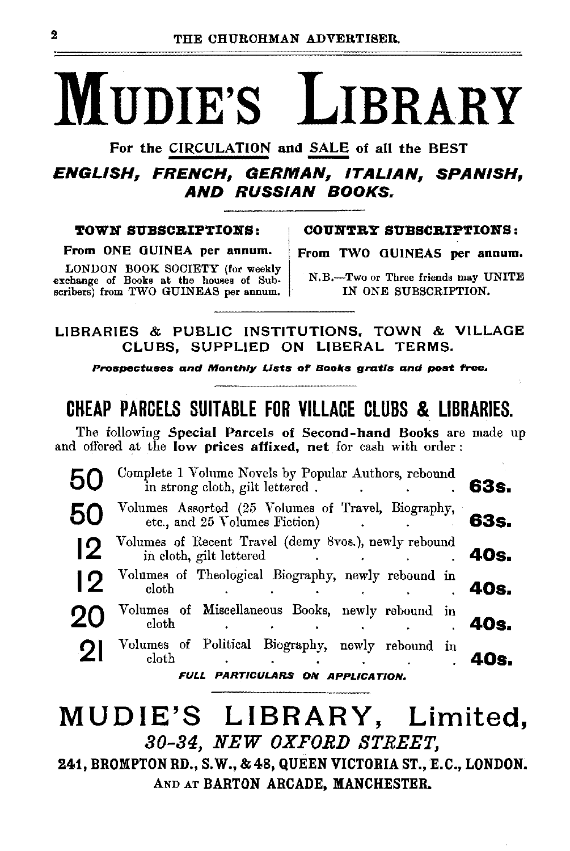# MUDIE'S LIBRARY

For the CIRCULATION and SALE of all the BEST<br>**ENGLISH, FRENCH, GERMAN, ITALIAN, SPANISH,** AND RUSSIAN BOOKS.

From ONE GUINEA per annum. From TWO GUINEAS per annum.

LONDON BOOK SOCIETY (for weekly exchange of Books at the houses of Sub- N.B.--Two or Three friends may UNITE<br>scribers) from TWO GUINEAS per annum. IN ONE SUBSCRIPTION. scribers) from TWO GUINEAS per annum.

TOWN SUBSCRIPTIONS: COUNTRY SUBSCRIPTIONS:

LIBRARIES & PUBLIC INSTITUTIONS, TOWN & VILLAGE CLUBS, SUPPLIED ON LIBERAL TERMS.

Prospectuses and Monthly Lists of Books gratis and post free.

# CHEAP PARCElS SUITABlE FOR VlllACE ClUBS & liBRARIES.

The following Special Parcels of Second-hand Books are made up and offered at the low prices affixed, net for cash with order :

|    | Complete 1 Volume Novels by Popular Authors, rebound<br>in strong cloth, gilt lettered. | 63s. |
|----|-----------------------------------------------------------------------------------------|------|
|    | Volumes Assorted (25 Volumes of Travel, Biography, etc., and 25 Volumes Fiction)        | 63s. |
|    | Volumes of Recent Travel (demy 8vos.), newly rebound<br>in cloth, gilt lettered.        | 40s. |
| 19 | Volumes of Theological Biography, newly rebound in<br>cloth                             | 40s. |
| クロ | Volumes of Miscellaneous Books, newly rebound in<br>$_{\rm cloth}$                      | 40s. |
|    | Volumes of Political Biography, newly rebound in<br>$_{\rm cloth}$                      | 40s. |
|    | FULL PARTICULARS ON APPLICATION.                                                        |      |

# MUDIE'S LIBRARY, Limited, 80-84, NEW OXFORD STREET,

241, BROMPTON RD., S.W., & 48, QUEEN VICTORIA ST., E.C., LONDON. AND AT BARTON ARCADE, MANCHESTER.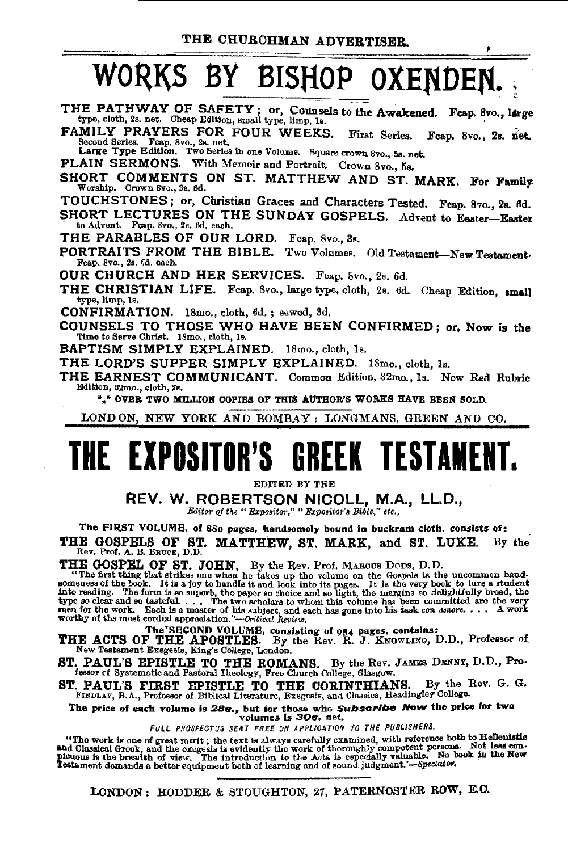$\bullet$ 

# WORKS BY BISHOP OXENDED

THE PATHWAY OF SAFETY; or, Counsels to the Awakened. Feap. 8vo., large type, cloth, 2s. net. Cheap Edition, small type, limp, 1s.

FAMILY PRAYERS FOR FOUR WEEKS. First Series. Fcap. 8vo., 2s. net. Second Serles. Fcap. 8vo., 2s. net.<br>Large Type Edition. Two Series in one Volume. Square crown 8vo., 5s. net.

PLAIN SERMONS. With Memoir and Portrait. Crown 8vo., 5s.

SHORT COMMENTS ON ST. MATTHEW AND ST. MARK. For Family Worship. Crown 8vo., 3s. 6d.

TOUCHSTONES; or, Christian Graces and Characters Tested. Fcap. 870., 28. 6d.

SHORT LECTURES ON THE SUNDAY GOSPELS. Advent to Easter-Easter to Advent. Fcap. 8vo., 2s. 6d. each.

THE PARABLES OF OUR LORD. Feap. 8vo., 3s.

PORTRAITS FROM THE BIBLE. Two Volumes. Old Testament-New Testament-Fcap. 8vo., 2s. 6d. each.

OUR CHURCH AND HER SERVICES. Feap. 8vo., 2s. 6d.

THE CHRISTIAN LIFE. Fcap. 8vo., large type, cloth, 2s. 6d. Cheap Edition, small type, limp, Is.

CONFIRMATION. 18mo., cloth, 6d.; sewed, 3d.

COUNSELS TO THOSE WHO HAVE BEEN CONFIRMED; or, Now is the Time to Serve Christ. 18mo., cloth, 1s.

**BAPTISM SIMPLY EXPLAINED.** 18mo., cloth, 1s.

THE LORD'S SUPPER SIMPLY EXPLAINED.  $18$ mo., cloth,  $1a$ .

THE EARNEST COMMUNICANT. Common Edition, 32mo., 1s. New Red Rubric Edition, 32mo., cloth, 2s.

\*.\* OVER TWO MILLION COPIES OF THIS AUTHOR'S WORKS HAVE BEEN SOLD.

LONDON, NEW YORK AND BOMBAY : LONGMANS, GREEN AND CO.

# THE EXPOSITOR'S **GREEK TESTAMENT.**

EDITED BY THE

REV. W. ROBERTSON NICOLL, M.A., LL.D., Editor of the " Expositor," " Expositor's Bible," etc.,

The FIRST VOLUME, of 880 pages, handsomely bound in buckram cloth, consists of:

THE GOSPELS OF ST. MATTHEW, ST. MARK, and ST. LUKE. By the Rev. Prof. A. B. BRUCE, D.D.

THE GOSPEL OF ST. JOHN. By the Rev. Prof. MAROUS DODS, D.D.<br>"The first thing that strikes one when he takes up the volume on the Gospels is the uncommon hand-<br>someness of the book. It is a joy to handle it and look into it worthy of the most cordial appreciation."-Critical Review.

The SECOND VOLUME, consisting of 954 pages, contains:<br>THE ACTS OF THE APOSTLES. By the Rev. R. J. KNOWLING, D.D., Professor of<br>New Testament Exegesis, King's College, London.

. PAUL'S EPISTLE TO THE ROMANS. By the Rev. JAMES DENNY, D.D., Pro-<br>fossor of Systematic and Pastoral Theology, Free Church College, Glasgow.

. PAUL'S FIRST EPISTLE TO THE CORINTHIANS. By the I FINDLAY, B.A., Professor of Biblical Literature, Exegesis, and Classics, Headingley College. By the Rev. G. G. ST.

The price of each volume is 28s., but for those who Subscribe Now the price for two<br>volumes is 30s. net.

FULL PROSPECTUS SENT FREE ON APPLICATION TO THE PUBLISHERS.

"The work is one of great marit; the text is always carefully examined, with reference both to Hellonistic and Classical Greek, and the excessis is evidently the work of thoroughly competent persons. Not less contributions Testament demands a better equipment both of learning and of sound judgment.'-Speciator.

LONDON: HODDER & STOUGHTON, 27, PATERNOSTER ROW, E.C.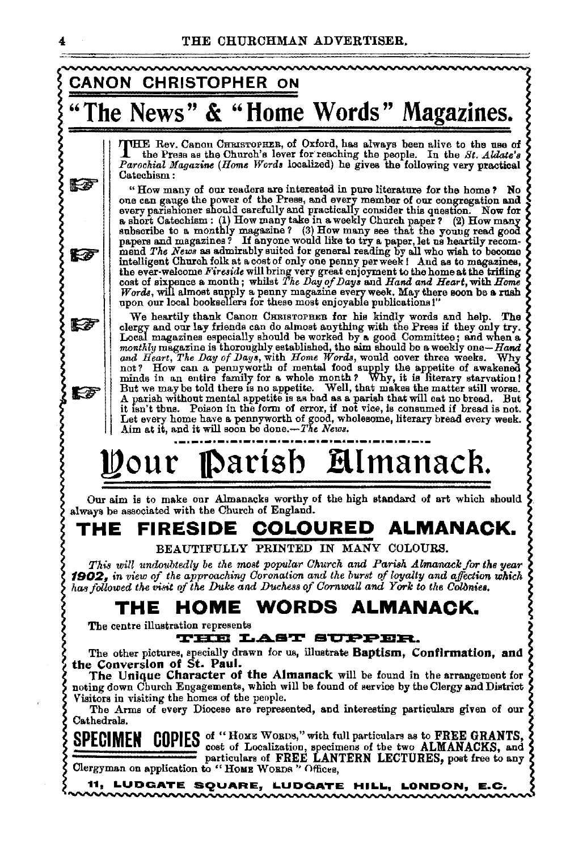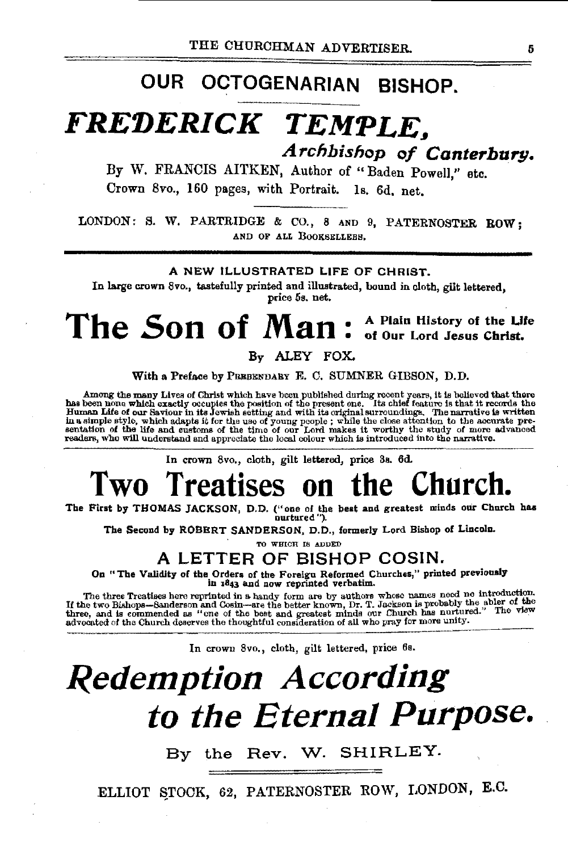# OUR OCTOGENARIAN BISHOP.

# *FREDERICK TEMPLE, A rchhi.shop of Canterbury.*

By W. FRANCIS AITKEN, Author of "Baden Powell," etc. Crown 8vo., 160 pages, with Portrait. Is. 6d. net.

LONDON: S. W. PARTRIDGE & CO., 8 AND 9, PATERNOSTER ROW; AND OF ALL BOOKSELLERS,

### A NEW ILLUSTRATED LIFE OF CHRIST.

In large crown 8vo., tastefully printed and illustrated, bound in cloth, gilt lettered, price 5s. net.

# The Son of Man : A Plain History of the Life

By ALEY FOX.

With a Preface by PREBENDARY E. C. SUMNER GIBSON, D.D.

Among the many Lives of Christ which have been published during recent years, it is believed that there has been now which exactly occupies the position of the present one. Its chief feature is then has been none which exa

In crown 8vo., cloth, gilt lettered, price 3s. 6d.

# Two Treatises on the Church.<br>
The First by THOMAS JACKSON, D.D. ("one of the best and greatest minds our Church has

The Second by ROBERT SANDERSON, D.D., formerly Lord Bishop of Lincoln.

TO WHICH IS ADDED

## A LETTER OF BISHOP COSIN.

On "The Validity of the Orders of the Foreign Reformed Churches," printed previously in 1843 and now reprinted verbatim.

The three Treatises here reprinted in a handy form are by authors whose names need no introduction. If the two Bishops—Sanderson and Cosin—are the better known, Dr. T. Jackson is probably the abler of the three, and is com

In crown Svo., cloth, gilt lettered, price 6s.

# *Redemption According to the Eternal Purpose.*

By the Rev. W. SHIRLEY.

ELLIOT STOCK, 62, PATERNOSTER ROW, LONDON, E.C.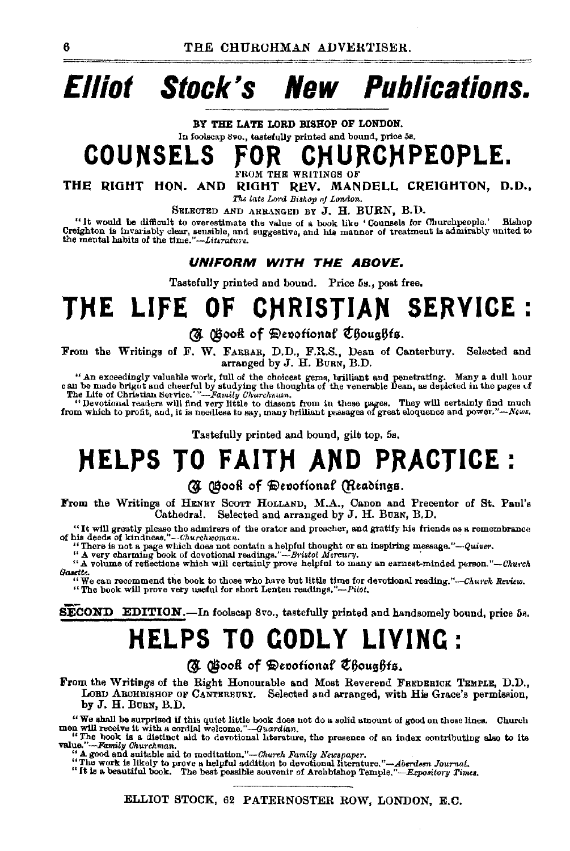# **Elliot Stock's New Publications.**

BY THE LATE LORD BISHOP OF LONDON. In foolscap Svo., tastefully printed and bound, price 58. **COUNSELS FOR CHURCHPEOPLE.** 

OM THE WRITINGS OF

THE RIGHT HON. AND RIGHT REV. MANDELL CREIGHTON, D.D., *The late Lord Bishop oj London.* 

SELECTED AND ARRANGED BY J. H. BURN, B.D.<br>"It would be difficult to overestimate the value of a book like 'Counsels for Churchpeople.' Bishop Creighton is invariably clear, sensible, and suggestive, and his manner of treatment is admirably united to the mental habits of the time."--Literature.

## **UNIFORM WITH THE ABOVE.**

Tastefully printed and bound. Price 5s., post free.

# **TJiE LIFE OF C)"(RISTIAN SERVICE** :

(J @ootl of ~e»ofion~f ¢'3ous6fa.

From the Writings of F. W. FARBAR, D.D., F.R.S., Dean of Canterbury. Selected and arranged by J. H. BURN, B.D.

" An exceedingly valuable work, full of the choicest geme, brilliant and penetrating. Many a dull hour can be made bright ind cheerful by studying the thoughts of the venerable Dean, as depicted in the pages of The Life o

"Devotional readers will find very little to dissent from In these pages. They will certainly find much from which to profit, and, it is needless to say, many brilliant passages of great eloquence and *power."-News.* 

Tastefully printed and bound, gilt top. 5s.

# **)iELPS TO FAIT)"( AND PRACTICE:**

## (7) (Hooft of Devotional (Readings.

From the Writings of HENRY SCOTT HOLLAND, M.A., Canon and Precentor of St. Paul's Cathedral. Selected and arranged by J. H. BURN, B.D.

"It will greatly please the admirers of the orator and preacher, and gratify his friends as a remembrance of his deeds of kindness."--Churchwoman.

use we use of simple and contain a helpful thought or an inspiring message."-Quiver.<br>"There is not a page which does not contain a helpful thought or an inspiring message."-Quiver.<br>"A very charming book of devotional readi *lhuttte.* 

"We can reaommend the book to those who have but little time for devotional *resding.''·--Chu>•clt Review.* "The book will prove very useful for short Lenten rerutings,"-Pilct.

SECOND EDITION.-In foolscap 8vo., tastefully printed and handsomely bound, price 5s.

# **HELPS TO GODLY LIVING:**

(N Gootl of Devotional Choughts.

From the Writings of the Right Honourable and Most Reverend FREDERICK TEMPLE, D.D., LOBD ARCHBISHOP OF CANTERBURY. Selected and arranged, with His Grace's permission, by J. H. BuRN, B.D.

"We shall be surprised if this quiet little book does not do a solid amount of good on these lines. Church men will receive it with a cordial welcome."—Guardian.<br>"The book is a distinct aid to devotional literature, the p

value."---Family Churchman.<br>"A good and suitable aid to meditation."---Church Family Newspaper.

<sup>24</sup>A good and suitable aid to meditation."—*Church Family Newspaper*.<br>"The work is likely to prove a helpful addition to devotional literature."—Aberdsen Journal.<br>"It is a beautiful book. The best possible souvenir of Arc

ELLIOT STOCK, 62 PATERNOSTER ROW, LONDON, E.C.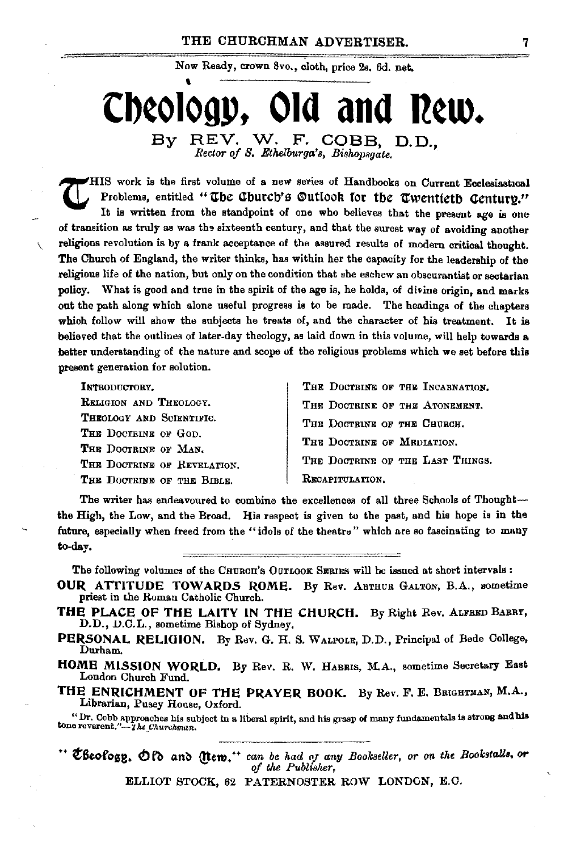Now Ready, crown 8vo., cloth, price 2s. 6d. net.

# Cheology. Old and Rew. REV. W. F. COBB, D.D., Bv

Rector of S. Ethelburga's, Bishopsgate.

HIS work is the first volume of a new series of Handbooks on Current Ecclesiastical Problems. entitled "The Church's Outlook for the Twentieth Century." It is written from the standpoint of one who believes that the present age is one of transition as truly as was the sixteenth century, and that the surest way of avoiding another religious revolution is by a frank acceptance of the assured results of modern critical thought. The Church of England, the writer thinks, has within her the capacity for the leadership of the religious life of the nation, but only on the condition that she eschew an obscurantist or sectarian What is good and true in the spirit of the age is, he holds, of divine origin, and marks policy. out the path along which alone useful progress is to be made. The headings of the chapters which follow will show the subjects he treats of, and the character of his treatment. It is believed that the outlines of later-day theology, as laid down in this volume, will help towards a better understanding of the nature and scope of the religious problems which we set before this present generation for solution.

INTRODUCTORY. RELIGION AND THEOLOGY. THROLOGY AND SCIENTIFIC. THE DOCTRINE OF GOD. THE DOCTRINE OF MAN. THE DOCTRINE OF REVELATION. THE DOCTRINE OF THE BIBLE.

THE DOCTRINE OF THE INCABNATION. THE DOCTRINE OF THE ATONEMENT. THE DOCTRINE OF THE CHURCH. THE DOCTRINE OF MEDIATION. THE DOCTRINE OF THE LAST THINGS. RECAPITULATION.

The writer has endeavoured to combine the excellences of all three Schools of Thoughtthe High, the Low, and the Broad. His respect is given to the past, and his hope is in the future, especially when freed from the "idols of the theatre" which are so fascinating to many to-day.

The following volumes of the CHURCH'S OUTLOOK SERIES will be issued at short intervals :

- OUR ATTITUDE TOWARDS ROME. By Rev. ABTHUR GALTON, B.A., sometime priest in the Roman Catholic Church.
- THE PLACE OF THE LAITY IN THE CHURCH. By Right Rev. ALFRED BARRY, D.D., D.C.L., sometime Bishop of Sydney.
- PERSONAL RELIGION. By Rev. G. H. S. WALFOLE, D.D., Principal of Bede College, Durham.
- HOME MISSION WORLD. By Rev. R. W. HABRIS, M.A., sometime Secretary East London Church Fund.
- THE ENRICHMENT OF THE PRAYER BOOK. By Rev. F. E. BRIGHTMAN, M.A., Librarian, Pusey House, Oxford.

"Dr. Cobb approaches his subject in a liberal spirit, and his grasp of many fundamentals is strong and his tone reverent."-The Churchman.

" Cheology. Of and (Item." can be had of any Bookseller, or on the Bookstalls, or of the Publisher,

ELLIOT STOCK, 62 PATERNOSTER ROW LONDON, E.C.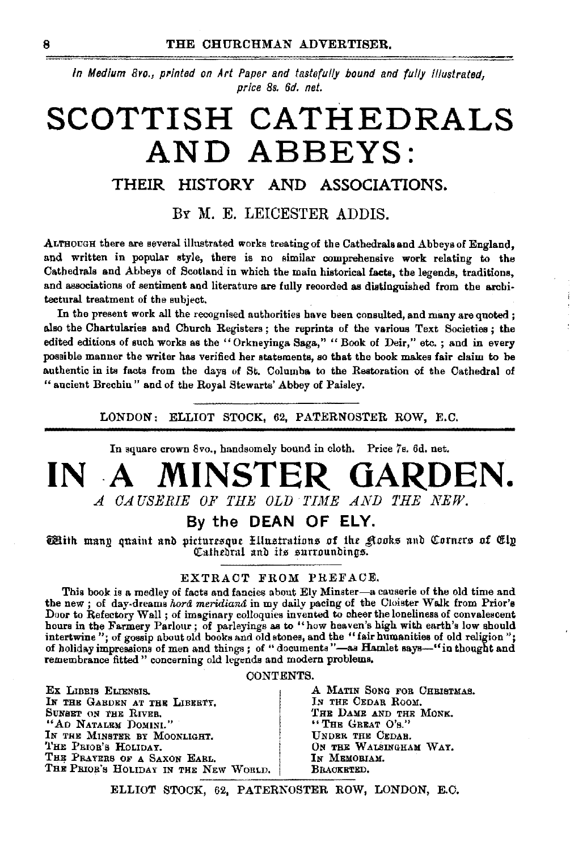In Medium 8ro., printed on Art Paper and tastefully bound and fully illustrated, price 8s. 6d. net.

# SCOTTISH CATHEDRALS AND ABBEYS:

## THEIR HISTORY AND ASSOCIATIONS.

BY M. E. LEICESTER ADDIS.

ALTHOUGH there are several illustrated works treating of the Cathedrals and Abbeys of England, and written in popular style, there is no similar comprehensive work relating to the Cathedrals and Abbeys of Scotland in which the main historical facts, the legends, traditions, and associations of sentiment and literature are fully recorded as distinguished from the architectural treatment of the subject.

In the present work all the recognised authorities have been consulted, and many are quoted; also the Chartularies and Church Registers; the reprints of the various Text Societies; the edited editions of such works as the "Orkneyinga Saga," "Book of Deir," etc.; and in every possible manner the writer has verified her statements, so that the book makes fair claim to be authentic in its facts from the days of St. Columba to the Restoration of the Cathedral of "aucient Brechin" and of the Royal Stewarts' Abbey of Paisley.

LONDON: ELLIOT STOCK, 62, PATERNOSTER ROW, E.C.

In square crown 8vo., handsomely bound in cloth. Price 7s. 6d. net.

## MINSTER GARDEN.  $INA$ A CAUSERIE OF THE OLD TIME AND THE NEW.

## By the DEAN OF ELY.

With many quaint and picturesque Ellustrations of the glooks and Corners of Ely Cathedral and its surroundings.

## EXTRACT FROM PREFACE.

This book is a medley of facts and fancies about Ely Minster-a causerie of the old time and the new; of day-dreams hord meridiand in my daily pacing of the Cloister Walk from Prior's Door to Refectory Wall; of imaginary colloquies invented to cheer the loneliness of convalescent hours in the Farmery Parlour; of parleyings as to "how heaven's high with earth's low should intertwine"; of gossip about old books and old stones, and the "fair humanities of old religion"; of holiday impressions of men and things; of "documents"-as Hamlet says-"in thought and remembrance fitted " concerning old legends and modern problems.

### CONTENTS.

EX LIBBIS ELIENSIS. IN THE GARDEN AT THE LIBERTY. SUNSET ON THE RIVER. "AD NATALEM DOMINI." IN THE MINSTER BY MOONLIGHT. THE PRIOR'S HOLIDAY. THE PRAYERS OF A SAXON EARL. THE PRIOR'S HOLIDAY IN THE NEW WORLD. A MATIN SONG FOR CHRISTMAS. IN THE CEDAR ROOM. THE DAME AND THE MONE. "THE GREAT O'S." UNDER THE CEDAB. ON THE WALSINGHAM WAY. Ім Мемовиам. BRACKETED.

ELLIOT STOCK, 62, PATERNOSTER ROW, LONDON, E.C.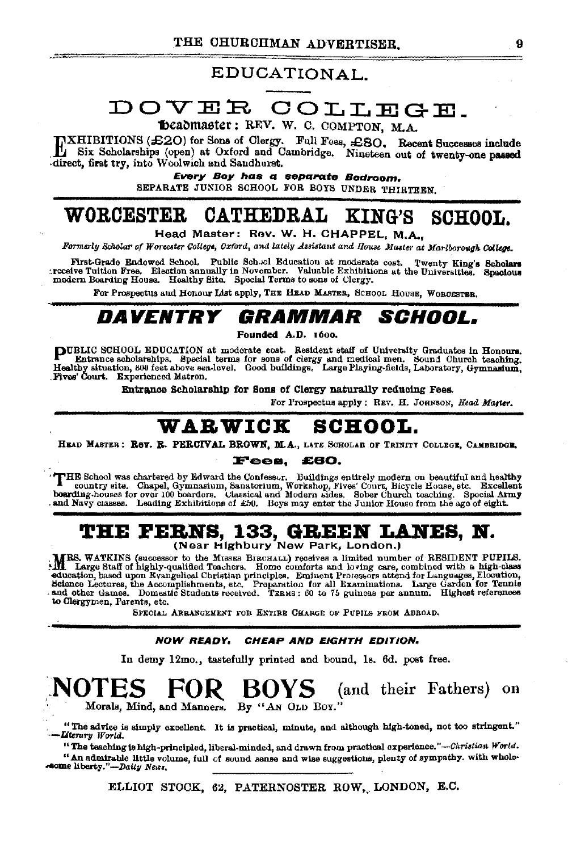---

## EDUCATIONAL.

# DOVER COLLEGE.

beadmaster: REV. W. C. COMPTON, M.A.

INXHIBITIONS (£20) for Sons of Clergy. Full Fees, £80. Recent Successes include<br>direct, first try, into Woolwich and Sandhurst.<br>direct, first try, into Woolwich and Sandhurst.

Every Boy has a separate Bedroom.

SEPARATE JUNIOR SCHOOL FOR BOYS UNDER THIRTEEN.

#### CATHEDRAL KING'S **WORCESTER** SCHOOL.

Head Master: Rev. W. H. CHAPPEL. M.A..

Formerly Scholar of Worcester College, Oxford, and lately Assistant and House Master at Mariborough College.

First-Grade Endowed School. Public Sch. ol Education at moderate cost. Twenty King's Scholars<br>:receive Tuition Free. Election annually in November. Valuable Exhibitions at the Universities. Spacious<br>modern Boarding House.

For Prospectus and Honour List apply, THE HEAD MASTER, SCHOOL HOUSE, WORCESTER.

### DAVENTRY *GRAMMAR SCHOOL.*

Founded A.D. 1600.

PUBLIC SCHOOL EDUCATION at moderate cost. Resident staff of University Graduates in Honours.<br>Entrance scholarships. Special terms for sons of ciergy and medical men. Sound Church teaching.<br>Healthy situation, 800 feet above Fives Court. Experienced Matron.

Entrance Scholarship for Sons of Clergy naturally reducing Fees.

For Prospectus apply : REV. H. JOHNSON, Head Master.

#### **SCHOOL.** WARWICK

HEAD MASTER: ROV. R. PERCIVAL BROWN, M.A., LATE SCHOLAR OF TRINITY COLLEGE, CAMBRIDGE,

#### Fees. £60.

THE School was chartered by Edward the Confessur. Buildings entirely modern on beautiful and healthy mountry site. Chapel, Gymnasium, Sunatorium, Workshop, Fives' Court, Bicycle House, etc. Excellent bounding-houses for ov

# **THE FERNS, 133, GREEN LANES, N.**<br>(Near Highbury New Park, London.)

MRS. WATKINS (successor to the MISSES BIRCHALL) receives a limited number of RESIDENT PUPILS.<br>All Large Staff of highly-qualified Teachers. Home comforts and loving care, combined with a high-class. education, based upon Evangelical Christian principles. Eminent Protessors attend for Languages, Elocution, Science Lectures, the Accomplishments, etc. Proparation for all Examinations. Large Garden for Tennis and other Ga to Clergymen, Parents, etc.

SPECIAL ARRANGEMENT FOR ENTIRE CHARGE OF PUPILS FROM ABROAD.

#### NOW READY. CHEAP AND EIGHTH EDITION.

In demy 12mo., tastefully printed and bound, 1s. 6d. post free.

#### NOTES (and their Fathers) on **FOK** BOYS -Morals, Mind, and Manners. By "AN OLD BOY."

"The advice is simply excellent. It is practical, minute, and although high-toned, not too stringent." Literary World.

"The teaching is high-principled, liberal-minded, and drawn from practical experience."--Christian World. "An admirable little volume, full of sound sanse and wise suggestions, plenty of sympathy. with wholeseome liberty."-Daily News.

ELLIOT STOCK, 62, PATERNOSTER ROW, LONDON, E.C.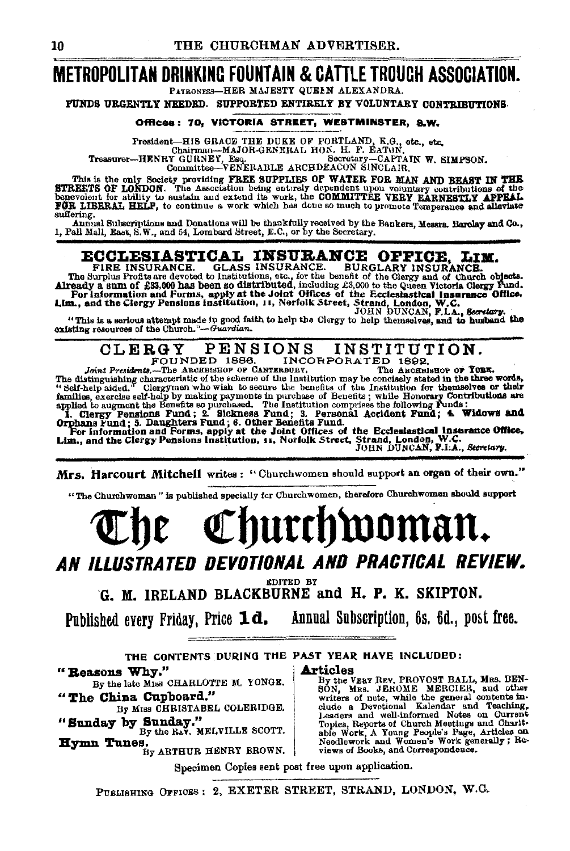## **METROPOLITAN DRINKING FOUNTAIN & CATTLE TROUGH ASSOCIATION.** PATRONESS-HER MAJESTY QUEEN ALEXANDRA.

FUNDS URGENTLY NEEDED. SUPPORTED ENTIRELY BY VOLUNTARY CONTRIBUTIONS.

### Offices: 70, VICTORIA STREET, WESTMINSTER. S.W.

Fresident-HIS GRACE THE DUKE OF PORTLAND, K.G., etc., etc., Chairman-MAJOR-GENERAL HON. H. F. EATON,<br>Chairman-MAJOR-GENERAL HON. H. F. EATON,<br>Treasurer-HENRY GURNER- Esq.<br>Committee-VENERABLE ARCHDEACON SINCLAIR,

This is the only Society providing FREE SUPPLIES OF WATER FOR MAN AND BEAST IN THE STREETS OF LOKDON. The Association being entirely dependent upon voluntary contributions of the STREETS OF WATER FOR MAN AND BEASTLY APPEAL suffering.

Annual Subscriptions and Donations will be thankfully received by the Bankers, Messrs. Barclay and Co.,<br>1, Pall Mall, East, S.W., and 54, Lombard Street, E.C., or by the Secretary.

**ECCLESIASTICAL INSURANCE.** GLASS INSURANCE. BURGLARY INSURANCE.<br>The Surplus Frofits are devoted to institutions, etc., for the benefit of the Glergy and of Church objects.<br>Already a sum of £33,000 has been so distributed,

PENSIONS INSTITUTION. CLERGY FOUNDED 1886.

INCORPORATED 1892. Joint Presidents.-The ARCHBISEOP OF CANTERBURY.

Joint Presidents.-The Assumes How CONTERED or CANTENBURY. The Assumes of Tom.<br>The distinguishing characteristic of the scheme of the Institution may be concisely stated in the three words,<br>"Schi-help aided." Clergymen who

Mrs. Harcourt Mitchell writes: "Churchwomen should support an organ of their own."

"The Churchwoman" is published specially for Churchwomen, therefore Churchwomen should support

# Churchwoman.

# AN ILLUSTRATED DEVOTIONAL AND PRACTICAL REVIEW.

**EDITED BY** 

G. M. IRELAND BLACKBURNE and H. P. K. SKIPTON.

Annual Subscription, 6s. 6d., post free. Published every Friday, Price 1d.

THE CONTENTS DURING THE PAST YEAR HAVE INCLUDED:

**Articles** 

"Reasons Why."

By the late Miss CHARLOTTE M. YONGE. "The China Cupboard."

By MISS CHRISTABEL COLERIDGE. "Sunday by Sunday."

By the Rav. MELVILLE SCOTT.

Hymn Tunes. By ARTHUR HENRY BROWN. FILCES WERT REV. PROVOST BALL, MRS. BEN-<br>By the VERT REV. PROVOST BALL, MRS. BEN-<br>SON, MRS. JEROME MERCIER, and other writers of note, while the general contents include a Devotional Kalendar and Teaching,<br>Leaders and well views of Books, and Correspondence.

Specimen Copies sent post free upon application.

PUBLISHING OFFICES: 2, EXETER STREET, STRAND, LONDON, W.C.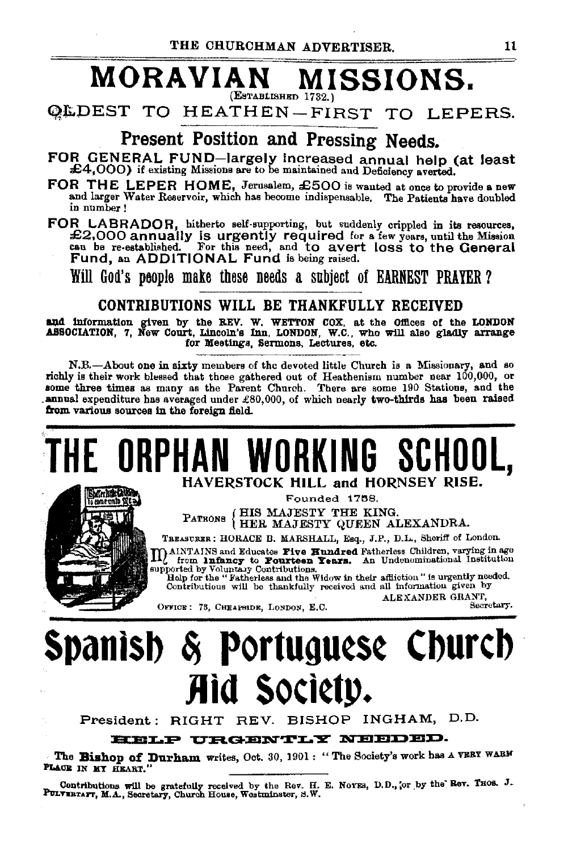## **MORAVIAN MISSIONS.**   $($ Establishen  $1732.$

OLDEST TO HEATHEN-FIRST TO LEPERS.

# Present Position and Pressing Needs.

- FOR GENERAL FUND-largely increased annual help (at least £4,000) if existing Missions are to be maintained and Deficiency averted.
- FOR THE LEPER HOME, Jerusalem, £500 is wanted at once to provide a new and larger Water Reservoir, which has become indispensable. The Patients have doubled in number!
- FOR LABRADOR, hitherto self-supporting, but suddenly crippled in its resources, £2,000 annually is urgently required for a few years, until the Mission can be re-established. For this need, and to avert loss to the General Fund, an ADDITIONAL Fund is being raised.

Will God's people make these needs a subject of EARNEST PRAYER?

## CONTRIBUTIONS WILL BE THANKFULLY RECEIVED

and information given by the REV. W. WETTON COX, at the Offices of the LONDON ASSOCIATION, 7, New Court, Lincoln's Inn, LONDON, W.C., who will also gladly arrange for Meetings, Sermons, Lectures, etc.

N.B.---About one in sixty members of the devoted little Church is a Missionary, and so richly is their work blessed that those gathered out of Heathenism number near 100,000, or some three times as many as the Parent Church. There are some 190 Stations, and the annual expenditure has averaged under  $£80,000$ , of which nearly two-thirds has been raised from various sources in the foreign field.

# **THE ORPHAN WORKING SCHOOL,**



Founded 1758. HIS MAJESTY THE KING.

PATRONS (HER MAJESTY QUEEN ALEXANDRA.

TBEASURER: HORACE B. MARSHALL, Esq., J.P., D.L., Sheriff of London.<br>JAINTAINS and Educates Five Hundred Fatherless Children, varying in age matherly in a Educates Five Hundred Fatherless Children, varying in age from anthropy to Fourteen Years. An Undenominational Institution supported by Voluntary Contributions.

Help for the "Fatherless and the Widow in their affliction" is urgently needed. Contributious will be thankfully received and all information given by<br>ALEXANDER GRANT.

OFFICE: 78, CHEAPSIDE, LONDON, E.C. Secretary.

# **Spanlsb** ~ **Portugu¢S¢ Cburcb Jlid SOCI¢t)).**

President: RIGHT REV. BISHOP INGHAM, D.D.

HELP URGENTLY NEEDED.

The Bishop of Durham writes, Oct. 30, 1901: "The Society's work has A VERY WARM PLACE IN HY HEART.

Contributions will be gratefully received by the Rev. H. E. Norms, D.D., or by the Rev. THOS. J. PULTERIAFT, M.A., Secretary, Church House, Westminster, S.W.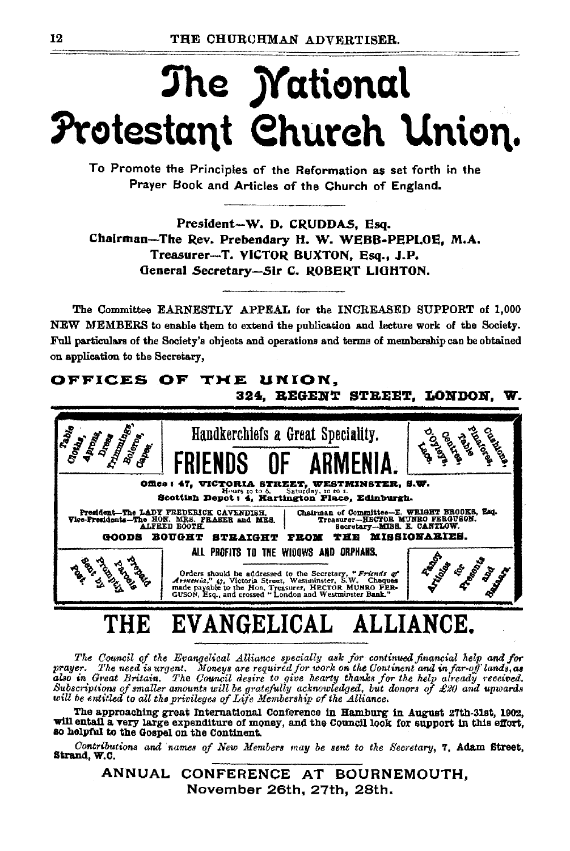# The *Mational* Protestant Church Union.

To Promote the Principles of the Reformation as set forth in the Prayer Book and Articles of the Church of England.

President-W. D. CRUDDAS, Esq. Chairman-The Rev. Prebendary H. W. WEBB-PEPLOE, M.A. Treasurer-T. VICTOR BUXTON, Esq., J.P. General Secretary-Sir C. ROBERT LIGHTON.

The Committee EARNESTLY APPEAL for the INCREASED SUPPORT of 1,000 NEW MEMBERS to enable them to extend the publication and lecture work of the Society. Full particulars of the Society's objects and operations and terms of membership can be obtained on application to the Secretary,

### OFFICES OF THE UNION. 324. REGENT STREET. LONDON. W. COMMANDS Handkerchiefs a Great Speciality. Transfer Office: 47. **VICTORIA STREET, WESTMINSTER, S.W.** Hours 10 to 6. Saturday, 10 to 1.<br>Scottish Depot : 4, Hartington Place, Edinburgh. Chairman of Committee-E. WEIGHT BROOKS, Esq.<br>Treasurer-HECTOR MUNRO FERGUSON.<br>Secretary-MIBS. E. CANTLOW. President-The LADY FREDERICK CAVENDIBH,<br>Vice-Presidents-The HON. MRS. PRASER and MRS.<br>ALFEED BOOTH. GOODS BOUGHT STRAIGHT FROM THE MISSIONABIES. ALL PROFITS TO THE WIDOWS AND ORPHANS. Tomas I **TASSES** ANDROID **PARTICULARE** RE Orders should be addressed to the Secretary, "Friends  $d$ <br>Armenia,"  $q$ , Victoria Street, Westminster, S.W. Chequen<br>made payable to the Hon. Treasurer, HECTOR MUNRO FER-<br>GUSON, Esq., and crossed "London and Westminster Ba " Friends of

#### **EVANGELICAL** ALL THB ANCE.

The Council of the Evangelical Alliance specially ask for continued financial help and for prayer. The need is urgent. Moneys are required for work on the Continent and in far-off lands, as also in Great Britain. The Council desire to give hearty thanks for the help already received.<br>Subscriptions of smaller amounts will be gratefully acknowledged, but donors of £20 and upwards will be entitled to all the pri

The approaching great International Conference in Hamburg in August 27th-31st, 1902, will entail a very large expenditure of money, and the Council look for support in this effort, so helpful to the Gospel on the Continent.

Contributions and names of New Members may be sent to the Secretary, 7, Adam Street, Strand, W.C.

ANNUAL CONFERENCE AT BOURNEMOUTH, November 26th, 27th, 28th,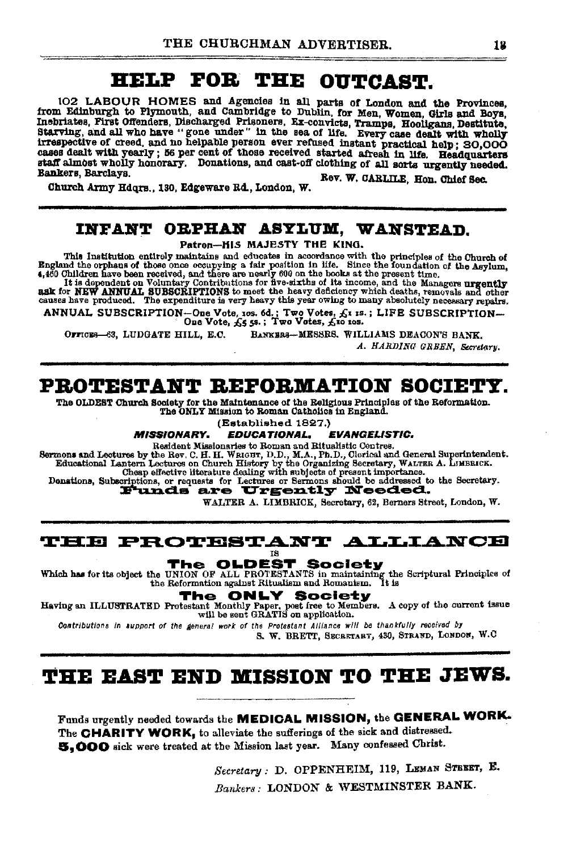# HELP FOR THE OUTCAST.

102 LABOUR HOMES and Agencies in all parts of London and the Provinces, from Edinburgh to Plymouth, and Cambridge to Dublin, for Men, Women, Girls and Boys, Inebriates. First Offenders, Discharged Prisoners, Ex-convicts, Tramps, Hooligans, Destitute, Starving, and all who have "gone under" in the sea of life. Every case dealt with wholly stating, and an helpable person ever refused instant practical help; 20,000 cases dealt with yearly; 56 per cent of those received started afresh in life. Headquarters staff almost wholly honorary. Donations, and cast-off clothing of all sorts urgently needed. Bankers, Barclava. Rev. W. CARLILE, Hon. Chief Sec.

Church Army Hdors., 130. Edgeware Rd., London, W.

## INFANT ORPHAN ASYLUM, WANSTEAD.

Patron-HIS MAJESTY THE KING.

This Institution entirely maintains and educates in accordance with the principles of the Church of<br>Bigland the orphans of those once occupying a fair position in life. Since the foundation of the Asylum,<br>4,460 Ohildren la

ANNUAL SUBSCRIPTION-One Vote, 10s. 6d.; Two Votes,  $f_x$ 1 1s.; LIFE SUBSCRIPTION---<br>One Vote,  $f_y$ s 5s.; Two Votes,  $f_y$ 10 10s.

BANKERS-MESSRS. WILLIAMS DEACON'S BANK, OFFICES-63. LUDGATE HILL. E.C.

A. HARDING GREEN. Secretary.

## PROTESTANT REFORMATION SOCIETY.

The OLDEST Church Society for the Maintenance of the Religious Principles of the Reformation. The ONLY Mission to Roman Catholics in England.

(Established 1827.)

**MISSIONARY. EDUCATIONAL. EVANGELISTIC.** 

Resident Nisslandres to Roman and Ritualistic Centres.<br>
Sermons and Lectures by the Rev. C. H. H. WRIGHT, D.D., M.A., Ph.D., Clorical and General Superintendent.<br>
Educational Lantern Lectures on Church History by the Organ

WALTER A. LIMBRICK, Secretary, 62, Berners Street, London, W.

## **THE PROTESTANT ALLIANCE**

**TS** 

The OLDEST Society Which has for its object the UNION OF ALL PROTESTANTS in maintaining the Scriptural Principles of the Reformation against Ritualism and Romanism. It is the Reformation against Ritualism and Romanism.

> **NLY Society** he

Having an ILLUSTRATED Protestant Monthly Paper, poet free to Members. A copy of the current issue will be sent GRATIS on application.

Contributions in support of the general work of the Protestant Alliance will be thankfully received by

S. W. BRETT, SECRETARY, 430, STRAND, LONDON, W.C.

# THE EAST END MISSION TO THE JEWS.

Funds urgently needed towards the MEDICAL MISSION, the GENERAL WORK. The CHARITY WORK, to alleviate the sufferings of the sick and distressed. 5,000 sick were treated at the Mission last year. Many confessed Christ.

> Secretary : D. OPPENHEIM, 119, LEMAN STEEET, E. Bankers: LONDON & WESTMINSTER BANK.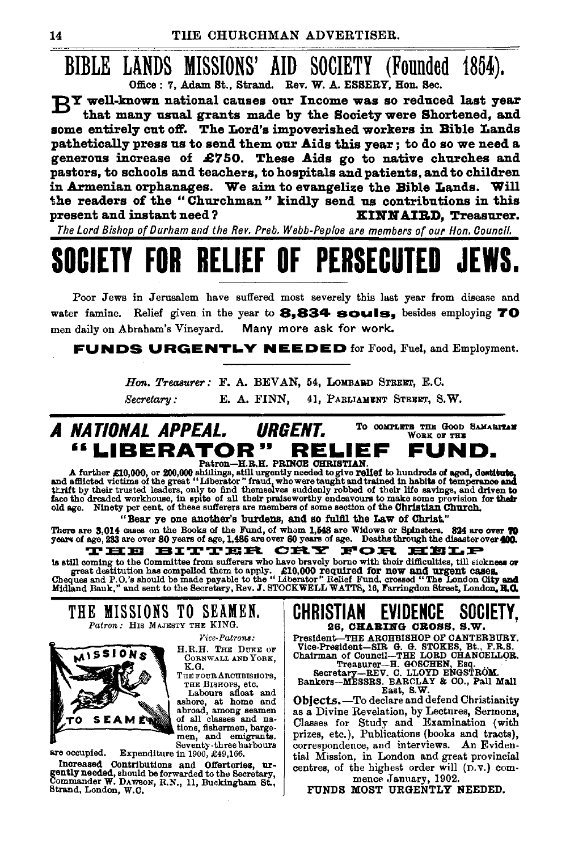### BIBLE LANDS MISSIONS' AID SOCIETY (Founded 1854). Office: 7, Adam St., Strand. Rev. W. A. ESSERY, Hon. Sec.

RY well-known national causes our Income was so reduced last vear that many usual grants made by the Society were Shortened, and some entirely cut off. The Lord's impoverished workers in Bible Lands pathetically press us to send them our Aids this year; to do so we need a generous increase of £750. These Aids go to native churches and pastors, to schools and teachers, to hospitals and patients, and to children in Armenian orphanages. We aim to evangelize the Bible Lands. Will the readers of the "Churchman" kindly send us contributions in this present and instant need? KINNAIRD, Treasurer.

The Lord Bishop of Durham and the Rev. Preb. Webb-Peploe are members of our Hon. Council.

# **PERSECI RELIEF OF**

Poor Jews in Jerusalem have suffered most severely this last year from disease and water famine. Relief given in the year to 8.834 souls. besides employing 70 men daily on Abraham's Vineyard. Many more ask for work.

**FUNDS URGENTLY NEEDED** for Food, Fuel, and Employment.

Hon. Treasurer: F. A. BEVAN, 54, LOMBARD STREET, E.C. Secretary: E. A. FINN, 41, PARLIAMENT STREET, S.W.

#### TO COMPLETE THE GOOD SAMARITAN A NATIONAL APPEAL. **URGENT.** WORK OF THE "LIBERATOR" RELIEF FUND. Patron-H.R.H. PRINCE CHRISTIAN

A further £10,000, or 200,000 shillings, still urgently needed to give relief to hundreds of aged, destitute, and afflicted victims of the great "Liberator" fraud, who were taught and trained in habits of temperance and af old age. Ninety per cent. of these sufferers are members of some section of the Christian Church.

"Bear ye one another's burdens, and so fulfil the Law of Christ."

There are 3,014 cases on the Books of the Fund, of whom 1,548 are Widows or Spinsters. 824 are over 70 years of age, 1,486 are over 60 years of age, 233 are over 400.

THE BITTER CRY **FOR HELP** is still coming to the Committee from sufferers who have bravely borne with their difficulties, till sickness or is suit commute that the commuter of the state of the state of the means of great destitution has compelled them to apply. £10,000 required for new and urgent cases.<br>Cheques and P.O.'s should be made payable to the "Libera



THE MISSIONS TO SEAMEN. Patron: HIS MAJESTY THE KING.

Vice-Patrons:



are occupied.

H.R.H. THE DUKE OF CORNWALL AND YORK,

K.G. THE FOUR ARCHBISHOPS,

THE BISHOPS, etc. Labours sfloat and<br>ashore, at home and<br>abroad, among seamen<br>of all classes and nations, fishermen, bargemen, and emigrants.<br>Seventy-three harbours

Expenditure in 1900, £49,166.

Increased Contributions and Offertories, urgently needed, should be forwarded to the Secretary,<br>Commander W. DAWSON, R.N., 11, Buckingham St., Strand, London, W.C.

#### CHRISTIAN EVIDENCE SUCIET 26, CHARING CROSS, S.W.

President-THE ARCHBISHOP OF CANTERBURY. Fresulent-THE ARGENERISMOV OF CANTERNATION<br>CORRESCENCION CONSIDERS ENTERNATION<br>CONSIDER TREASURER TRANSIC TRANSIC TRANSIC TRANSIC CONSIDERS ENTERNATION<br>SECTOR SECTOR SECTION AND SECTION SERVICE SERVICE SERVICE SANCTION.<br>BA

East, S.W.

Objects. - To declare and defend Christianity as a Divine Revelation, by Lectures, Sermons, Classes for Study and Examination (with prizes, etc.), Publications (books and tracts), correspondence, and interviews. An Evidential Mission, in London and great provincial centres, of the highest order will (D.V.) commence January, 1902.

FUNDS MOST URGENTLY NEEDED.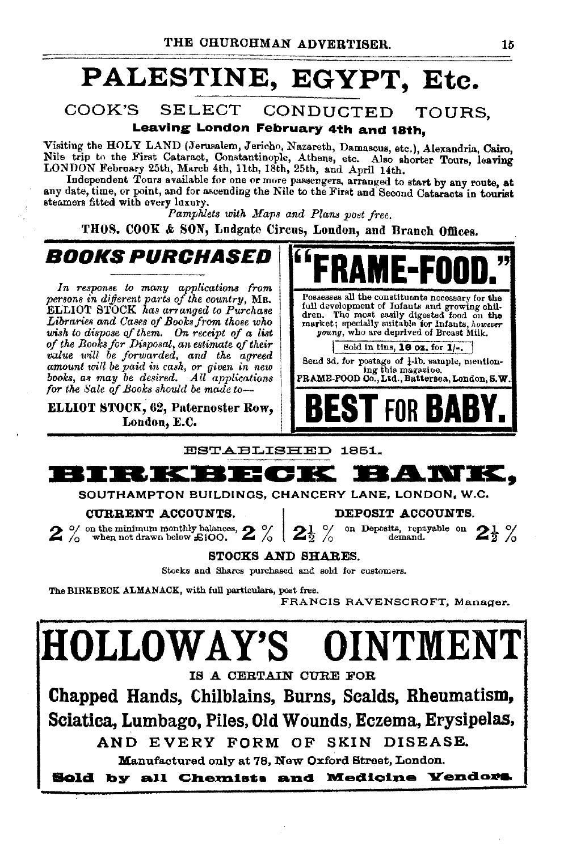# **PALESTINE, EGYPT, Etc.**

## COOK'S SELECT CONDUCTED TOURS, Leaving London February 4th and 18th,

Visiting the HOLY LAND (Jerusalem, Jericho, Nazareth, Damascus, etc.), Alexandria, Cairo,<br>Nile trip to the First Cataract, Constantinople, Athens, etc. Also shorter Tours, leaving LONDON February 25th, March 4th, 11th, 18th, 25th, and April 14th.

Independent Tours available for one or more passengers, arranged to start by any route, at any date, time, or point, and for ascending the Nile to the First and Second Cataracts in tourist steamers fitted with every luxury.

*Pamphlets with Maps and Plans post free.* 

THOS. COOK & SON, Ludgate Circus, London, and Branch Offices.

**BOOKS PURCHASED FRAME-FOOD.**"<br>
In response to many applications from **FRAME-FOOD**."<br> **POSSESS** all the constituents necessary for the *persons in different parts of the country, MR.*<br>ELLIOT STOCK has arranged to Purchase digitaries and Cases of Books from those who **Libraries is pecially suitable for Infants**, however<br>wish to dispose of them. On receipt of a list young, who are deprived of Breast Milk. *wish to dispose of them. On receipt of a list of the Books for Disposal*, an *estimate of their* of the Books for Disposal, an estimate of their<br>will be forwarded, and the agreed send 3d, for postage of  $\frac{1}{2}$ .<br>amount will be paid in cash, or given in new speed 3d, for postage of  $\frac{1}{2}$ . Senable, mention-<br>books *fooks, as may be desired. All applications*<br>for the Sale of Books should be made to-

London, E.C.



ESTABLISHED 1851.



SOUTHAMPTON BUILDINGS, CHANCERY LANE, LONDON, W.C.<br>
CURRENT ACCOUNTS.

**CURENT ACCOUNTS.**<br>  $2$  % on the minimum monthly balances,  $2$  %  $2$  % on Deposits, repayable on  $2$ <sup>1</sup> % or demand.

## STOCKS AND SHARES.

Stocks and Shares purchased and sold for customers.

The BIRKBECK ALMANACK, with full particulars, post free.

FRANCIS RAVENSCROFT, Manager.